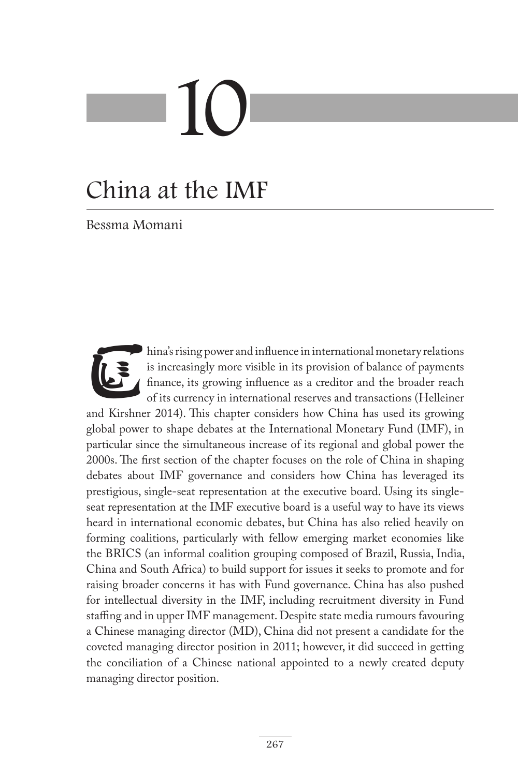# 10

# China at the IMF

Bessma Momani

hina's rising power and influence in international monetary relations<br>is increasingly more visible in its provision of balance of payments<br>finance, its growing influence as a creditor and the broader reach<br>of its currency is increasingly more visible in its provision of balance of payments finance, its growing influence as a creditor and the broader reach of its currency in international reserves and transactions (Helleiner and Kirshner 2014). This chapter considers how China has used its growing global power to shape debates at the International Monetary Fund (IMF), in particular since the simultaneous increase of its regional and global power the 2000s. The first section of the chapter focuses on the role of China in shaping debates about IMF governance and considers how China has leveraged its prestigious, single-seat representation at the executive board. Using its singleseat representation at the IMF executive board is a useful way to have its views heard in international economic debates, but China has also relied heavily on forming coalitions, particularly with fellow emerging market economies like the BRICS (an informal coalition grouping composed of Brazil, Russia, India, China and South Africa) to build support for issues it seeks to promote and for raising broader concerns it has with Fund governance. China has also pushed for intellectual diversity in the IMF, including recruitment diversity in Fund staffing and in upper IMF management. Despite state media rumours favouring a Chinese managing director (MD), China did not present a candidate for the coveted managing director position in 2011; however, it did succeed in getting the conciliation of a Chinese national appointed to a newly created deputy managing director position.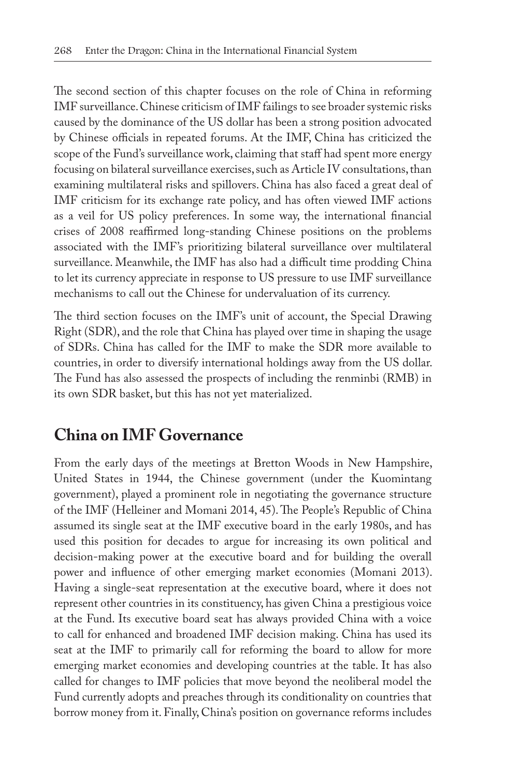The second section of this chapter focuses on the role of China in reforming IMF surveillance. Chinese criticism of IMF failings to see broader systemic risks caused by the dominance of the US dollar has been a strong position advocated by Chinese officials in repeated forums. At the IMF, China has criticized the scope of the Fund's surveillance work, claiming that staff had spent more energy focusing on bilateral surveillance exercises, such as Article IV consultations, than examining multilateral risks and spillovers. China has also faced a great deal of IMF criticism for its exchange rate policy, and has often viewed IMF actions as a veil for US policy preferences. In some way, the international financial crises of 2008 reaffirmed long-standing Chinese positions on the problems associated with the IMF's prioritizing bilateral surveillance over multilateral surveillance. Meanwhile, the IMF has also had a difficult time prodding China to let its currency appreciate in response to US pressure to use IMF surveillance mechanisms to call out the Chinese for undervaluation of its currency.

The third section focuses on the IMF's unit of account, the Special Drawing Right (SDR), and the role that China has played over time in shaping the usage of SDRs. China has called for the IMF to make the SDR more available to countries, in order to diversify international holdings away from the US dollar. The Fund has also assessed the prospects of including the renminbi (RMB) in its own SDR basket, but this has not yet materialized.

#### **China on IMF Governance**

From the early days of the meetings at Bretton Woods in New Hampshire, United States in 1944, the Chinese government (under the Kuomintang government), played a prominent role in negotiating the governance structure of the IMF (Helleiner and Momani 2014, 45). The People's Republic of China assumed its single seat at the IMF executive board in the early 1980s, and has used this position for decades to argue for increasing its own political and decision-making power at the executive board and for building the overall power and influence of other emerging market economies (Momani 2013). Having a single-seat representation at the executive board, where it does not represent other countries in its constituency, has given China a prestigious voice at the Fund. Its executive board seat has always provided China with a voice to call for enhanced and broadened IMF decision making. China has used its seat at the IMF to primarily call for reforming the board to allow for more emerging market economies and developing countries at the table. It has also called for changes to IMF policies that move beyond the neoliberal model the Fund currently adopts and preaches through its conditionality on countries that borrow money from it. Finally, China's position on governance reforms includes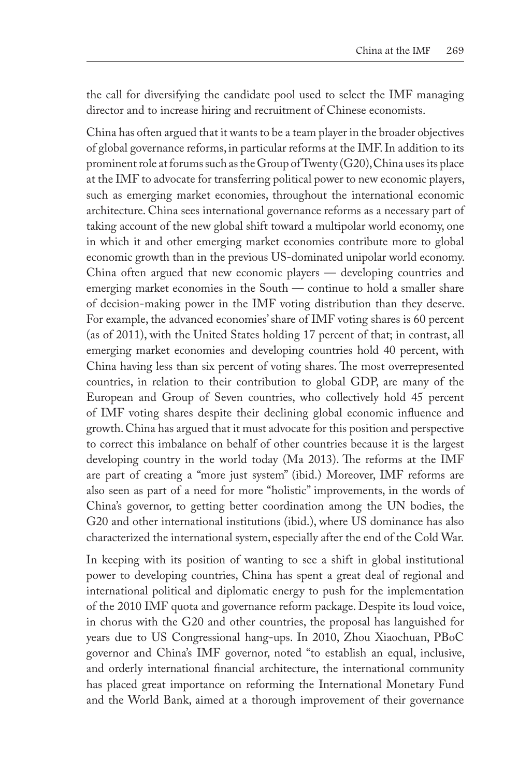the call for diversifying the candidate pool used to select the IMF managing director and to increase hiring and recruitment of Chinese economists.

China has often argued that it wants to be a team player in the broader objectives of global governance reforms, in particular reforms at the IMF. In addition to its prominent role at forums such as the Group of Twenty (G20), China uses its place at the IMF to advocate for transferring political power to new economic players, such as emerging market economies, throughout the international economic architecture. China sees international governance reforms as a necessary part of taking account of the new global shift toward a multipolar world economy, one in which it and other emerging market economies contribute more to global economic growth than in the previous US-dominated unipolar world economy. China often argued that new economic players — developing countries and emerging market economies in the South — continue to hold a smaller share of decision-making power in the IMF voting distribution than they deserve. For example, the advanced economies' share of IMF voting shares is 60 percent (as of 2011), with the United States holding 17 percent of that; in contrast, all emerging market economies and developing countries hold 40 percent, with China having less than six percent of voting shares. The most overrepresented countries, in relation to their contribution to global GDP, are many of the European and Group of Seven countries, who collectively hold 45 percent of IMF voting shares despite their declining global economic influence and growth. China has argued that it must advocate for this position and perspective to correct this imbalance on behalf of other countries because it is the largest developing country in the world today (Ma 2013). The reforms at the IMF are part of creating a "more just system" (ibid.) Moreover, IMF reforms are also seen as part of a need for more "holistic" improvements, in the words of China's governor, to getting better coordination among the UN bodies, the G20 and other international institutions (ibid.), where US dominance has also characterized the international system, especially after the end of the Cold War.

In keeping with its position of wanting to see a shift in global institutional power to developing countries, China has spent a great deal of regional and international political and diplomatic energy to push for the implementation of the 2010 IMF quota and governance reform package. Despite its loud voice, in chorus with the G20 and other countries, the proposal has languished for years due to US Congressional hang-ups. In 2010, Zhou Xiaochuan, PBoC governor and China's IMF governor, noted "to establish an equal, inclusive, and orderly international financial architecture, the international community has placed great importance on reforming the International Monetary Fund and the World Bank, aimed at a thorough improvement of their governance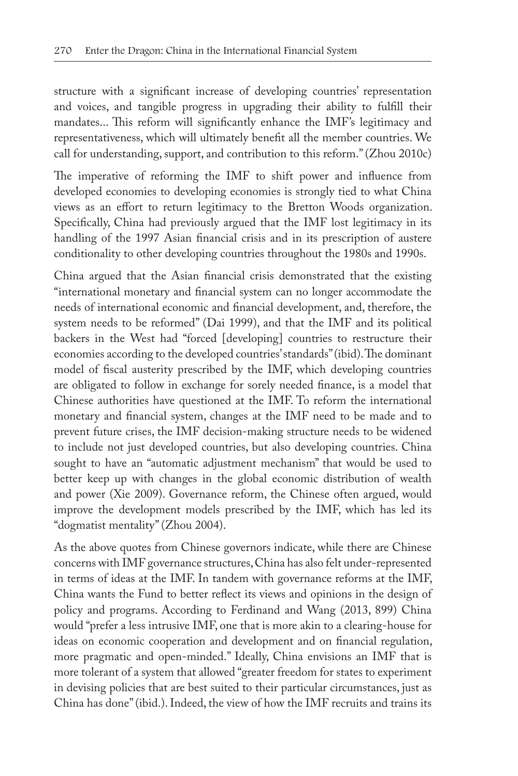structure with a significant increase of developing countries' representation and voices, and tangible progress in upgrading their ability to fulfill their mandates... This reform will significantly enhance the IMF's legitimacy and representativeness, which will ultimately benefit all the member countries. We call for understanding, support, and contribution to this reform." (Zhou 2010c)

The imperative of reforming the IMF to shift power and influence from developed economies to developing economies is strongly tied to what China views as an effort to return legitimacy to the Bretton Woods organization. Specifically, China had previously argued that the IMF lost legitimacy in its handling of the 1997 Asian financial crisis and in its prescription of austere conditionality to other developing countries throughout the 1980s and 1990s.

China argued that the Asian financial crisis demonstrated that the existing "international monetary and financial system can no longer accommodate the needs of international economic and financial development, and, therefore, the system needs to be reformed" (Dai 1999), and that the IMF and its political backers in the West had "forced [developing] countries to restructure their economies according to the developed countries' standards" (ibid). The dominant model of fiscal austerity prescribed by the IMF, which developing countries are obligated to follow in exchange for sorely needed finance, is a model that Chinese authorities have questioned at the IMF. To reform the international monetary and financial system, changes at the IMF need to be made and to prevent future crises, the IMF decision-making structure needs to be widened to include not just developed countries, but also developing countries. China sought to have an "automatic adjustment mechanism" that would be used to better keep up with changes in the global economic distribution of wealth and power (Xie 2009). Governance reform, the Chinese often argued, would improve the development models prescribed by the IMF, which has led its "dogmatist mentality" (Zhou 2004).

As the above quotes from Chinese governors indicate, while there are Chinese concerns with IMF governance structures, China has also felt under-represented in terms of ideas at the IMF. In tandem with governance reforms at the IMF, China wants the Fund to better reflect its views and opinions in the design of policy and programs. According to Ferdinand and Wang (2013, 899) China would "prefer a less intrusive IMF, one that is more akin to a clearing-house for ideas on economic cooperation and development and on financial regulation, more pragmatic and open-minded." Ideally, China envisions an IMF that is more tolerant of a system that allowed "greater freedom for states to experiment in devising policies that are best suited to their particular circumstances, just as China has done" (ibid.). Indeed, the view of how the IMF recruits and trains its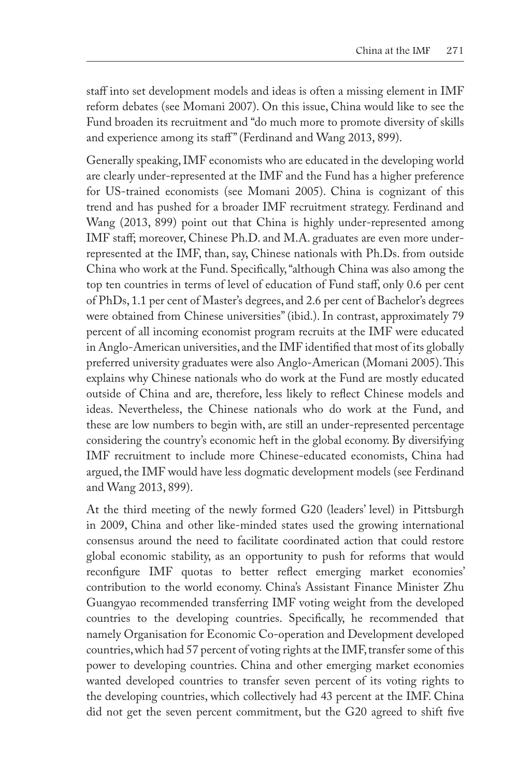staff into set development models and ideas is often a missing element in IMF reform debates (see Momani 2007). On this issue, China would like to see the Fund broaden its recruitment and "do much more to promote diversity of skills and experience among its staff" (Ferdinand and Wang 2013, 899).

Generally speaking, IMF economists who are educated in the developing world are clearly under-represented at the IMF and the Fund has a higher preference for US-trained economists (see Momani 2005). China is cognizant of this trend and has pushed for a broader IMF recruitment strategy. Ferdinand and Wang (2013, 899) point out that China is highly under-represented among IMF staff; moreover, Chinese Ph.D. and M.A. graduates are even more underrepresented at the IMF, than, say, Chinese nationals with Ph.Ds. from outside China who work at the Fund. Specifically, "although China was also among the top ten countries in terms of level of education of Fund staff, only 0.6 per cent of PhDs, 1.1 per cent of Master's degrees, and 2.6 per cent of Bachelor's degrees were obtained from Chinese universities" (ibid.). In contrast, approximately 79 percent of all incoming economist program recruits at the IMF were educated in Anglo-American universities, and the IMF identified that most of its globally preferred university graduates were also Anglo-American (Momani 2005). This explains why Chinese nationals who do work at the Fund are mostly educated outside of China and are, therefore, less likely to reflect Chinese models and ideas. Nevertheless, the Chinese nationals who do work at the Fund, and these are low numbers to begin with, are still an under-represented percentage considering the country's economic heft in the global economy. By diversifying IMF recruitment to include more Chinese-educated economists, China had argued, the IMF would have less dogmatic development models (see Ferdinand and Wang 2013, 899).

At the third meeting of the newly formed G20 (leaders' level) in Pittsburgh in 2009, China and other like-minded states used the growing international consensus around the need to facilitate coordinated action that could restore global economic stability, as an opportunity to push for reforms that would reconfigure IMF quotas to better reflect emerging market economies' contribution to the world economy. China's Assistant Finance Minister Zhu Guangyao recommended transferring IMF voting weight from the developed countries to the developing countries. Specifically, he recommended that namely Organisation for Economic Co-operation and Development developed countries, which had 57 percent of voting rights at the IMF, transfer some of this power to developing countries. China and other emerging market economies wanted developed countries to transfer seven percent of its voting rights to the developing countries, which collectively had 43 percent at the IMF. China did not get the seven percent commitment, but the G20 agreed to shift five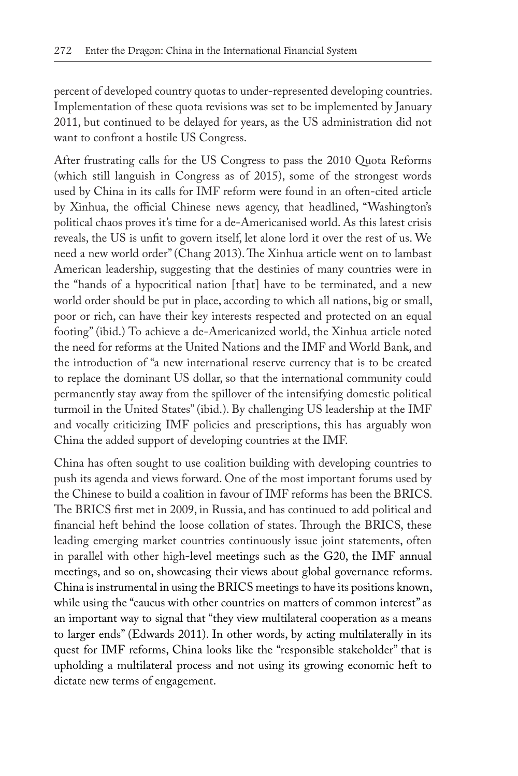percent of developed country quotas to under-represented developing countries. Implementation of these quota revisions was set to be implemented by January 2011, but continued to be delayed for years, as the US administration did not want to confront a hostile US Congress.

After frustrating calls for the US Congress to pass the 2010 Quota Reforms (which still languish in Congress as of 2015), some of the strongest words used by China in its calls for IMF reform were found in an often-cited article by Xinhua, the official Chinese news agency, that headlined, "Washington's political chaos proves it's time for a de-Americanised world. As this latest crisis reveals, the US is unfit to govern itself, let alone lord it over the rest of us. We need a new world order" (Chang 2013). The Xinhua article went on to lambast American leadership, suggesting that the destinies of many countries were in the "hands of a hypocritical nation [that] have to be terminated, and a new world order should be put in place, according to which all nations, big or small, poor or rich, can have their key interests respected and protected on an equal footing" (ibid.) To achieve a de-Americanized world, the Xinhua article noted the need for reforms at the United Nations and the IMF and World Bank, and the introduction of "a new international reserve currency that is to be created to replace the dominant US dollar, so that the international community could permanently stay away from the spillover of the intensifying domestic political turmoil in the United States" (ibid.). By challenging US leadership at the IMF and vocally criticizing IMF policies and prescriptions, this has arguably won China the added support of developing countries at the IMF.

China has often sought to use coalition building with developing countries to push its agenda and views forward. One of the most important forums used by the Chinese to build a coalition in favour of IMF reforms has been the BRICS. The BRICS first met in 2009, in Russia, and has continued to add political and financial heft behind the loose collation of states. Through the BRICS, these leading emerging market countries continuously issue joint statements, often in parallel with other high-level meetings such as the G20, the IMF annual meetings, and so on, showcasing their views about global governance reforms. China is instrumental in using the BRICS meetings to have its positions known, while using the "caucus with other countries on matters of common interest" as an important way to signal that "they view multilateral cooperation as a means to larger ends" (Edwards 2011). In other words, by acting multilaterally in its quest for IMF reforms, China looks like the "responsible stakeholder" that is upholding a multilateral process and not using its growing economic heft to dictate new terms of engagement.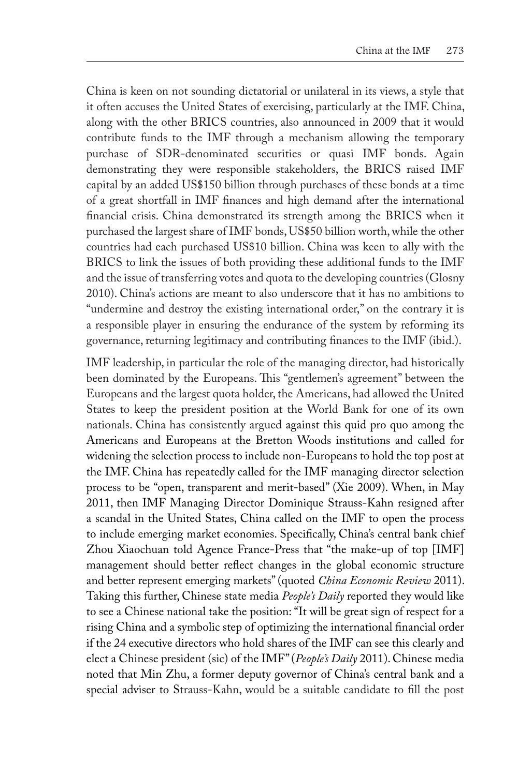China is keen on not sounding dictatorial or unilateral in its views, a style that it often accuses the United States of exercising, particularly at the IMF. China, along with the other BRICS countries, also announced in 2009 that it would contribute funds to the IMF through a mechanism allowing the temporary purchase of SDR-denominated securities or quasi IMF bonds. Again demonstrating they were responsible stakeholders, the BRICS raised IMF capital by an added US\$150 billion through purchases of these bonds at a time of a great shortfall in IMF finances and high demand after the international financial crisis. China demonstrated its strength among the BRICS when it purchased the largest share of IMF bonds, US\$50 billion worth, while the other countries had each purchased US\$10 billion. China was keen to ally with the BRICS to link the issues of both providing these additional funds to the IMF and the issue of transferring votes and quota to the developing countries (Glosny 2010). China's actions are meant to also underscore that it has no ambitions to "undermine and destroy the existing international order," on the contrary it is a responsible player in ensuring the endurance of the system by reforming its governance, returning legitimacy and contributing finances to the IMF (ibid.).

IMF leadership, in particular the role of the managing director, had historically been dominated by the Europeans. This "gentlemen's agreement" between the Europeans and the largest quota holder, the Americans, had allowed the United States to keep the president position at the World Bank for one of its own nationals. China has consistently argued against this quid pro quo among the Americans and Europeans at the Bretton Woods institutions and called for widening the selection process to include non-Europeans to hold the top post at the IMF. China has repeatedly called for the IMF managing director selection process to be "open, transparent and merit-based" (Xie 2009). When, in May 2011, then IMF Managing Director Dominique Strauss-Kahn resigned after a scandal in the United States, China called on the IMF to open the process to include emerging market economies. Specifically, China's central bank chief Zhou Xiaochuan told Agence France-Press that "the make-up of top [IMF] management should better reflect changes in the global economic structure and better represent emerging markets" (quoted *China Economic Review* 2011). Taking this further, Chinese state media *People's Daily* reported they would like to see a Chinese national take the position: "It will be great sign of respect for a rising China and a symbolic step of optimizing the international financial order if the 24 executive directors who hold shares of the IMF can see this clearly and elect a Chinese president (sic) of the IMF" (*People's Daily* 2011). Chinese media noted that Min Zhu, a former deputy governor of China's central bank and a special adviser to Strauss-Kahn, would be a suitable candidate to fill the post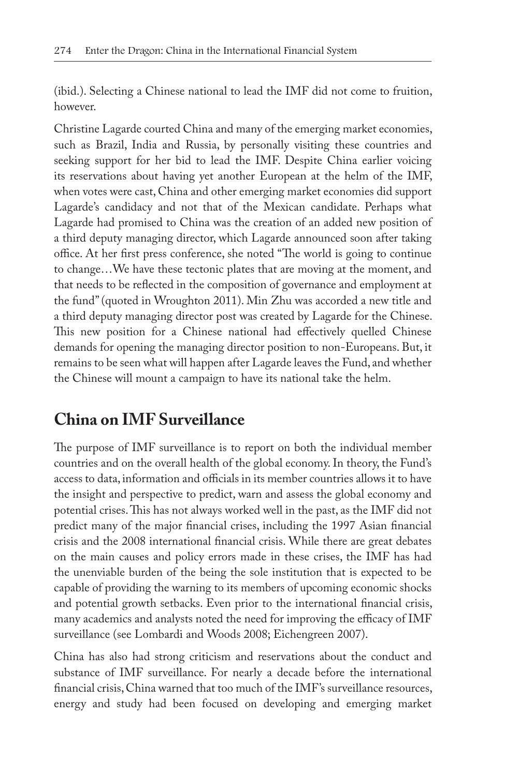(ibid.). Selecting a Chinese national to lead the IMF did not come to fruition, however.

Christine Lagarde courted China and many of the emerging market economies, such as Brazil, India and Russia, by personally visiting these countries and seeking support for her bid to lead the IMF. Despite China earlier voicing its reservations about having yet another European at the helm of the IMF, when votes were cast, China and other emerging market economies did support Lagarde's candidacy and not that of the Mexican candidate. Perhaps what Lagarde had promised to China was the creation of an added new position of a third deputy managing director, which Lagarde announced soon after taking office. At her first press conference, she noted "The world is going to continue to change…We have these tectonic plates that are moving at the moment, and that needs to be reflected in the composition of governance and employment at the fund" (quoted in Wroughton 2011). Min Zhu was accorded a new title and a third deputy managing director post was created by Lagarde for the Chinese. This new position for a Chinese national had effectively quelled Chinese demands for opening the managing director position to non-Europeans. But, it remains to be seen what will happen after Lagarde leaves the Fund, and whether the Chinese will mount a campaign to have its national take the helm.

### **China on IMF Surveillance**

The purpose of IMF surveillance is to report on both the individual member countries and on the overall health of the global economy. In theory, the Fund's access to data, information and officials in its member countries allows it to have the insight and perspective to predict, warn and assess the global economy and potential crises. This has not always worked well in the past, as the IMF did not predict many of the major financial crises, including the 1997 Asian financial crisis and the 2008 international financial crisis. While there are great debates on the main causes and policy errors made in these crises, the IMF has had the unenviable burden of the being the sole institution that is expected to be capable of providing the warning to its members of upcoming economic shocks and potential growth setbacks. Even prior to the international financial crisis, many academics and analysts noted the need for improving the efficacy of IMF surveillance (see Lombardi and Woods 2008; Eichengreen 2007).

China has also had strong criticism and reservations about the conduct and substance of IMF surveillance. For nearly a decade before the international financial crisis, China warned that too much of the IMF's surveillance resources, energy and study had been focused on developing and emerging market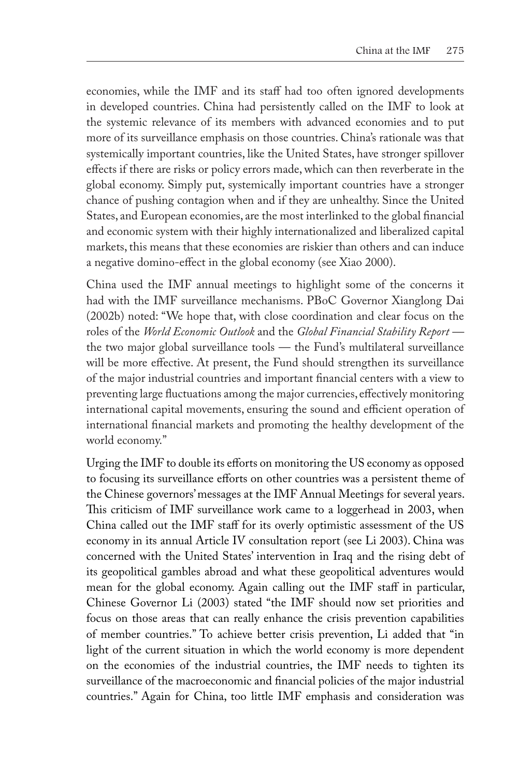economies, while the IMF and its staff had too often ignored developments in developed countries. China had persistently called on the IMF to look at the systemic relevance of its members with advanced economies and to put more of its surveillance emphasis on those countries. China's rationale was that systemically important countries, like the United States, have stronger spillover effects if there are risks or policy errors made, which can then reverberate in the global economy. Simply put, systemically important countries have a stronger chance of pushing contagion when and if they are unhealthy. Since the United States, and European economies, are the most interlinked to the global financial and economic system with their highly internationalized and liberalized capital markets, this means that these economies are riskier than others and can induce a negative domino-effect in the global economy (see Xiao 2000).

China used the IMF annual meetings to highlight some of the concerns it had with the IMF surveillance mechanisms. PBoC Governor Xianglong Dai (2002b) noted: "We hope that, with close coordination and clear focus on the roles of the *World Economic Outlook* and the *Global Financial Stability Report*  the two major global surveillance tools — the Fund's multilateral surveillance will be more effective. At present, the Fund should strengthen its surveillance of the major industrial countries and important financial centers with a view to preventing large fluctuations among the major currencies, effectively monitoring international capital movements, ensuring the sound and efficient operation of international financial markets and promoting the healthy development of the world economy."

Urging the IMF to double its efforts on monitoring the US economy as opposed to focusing its surveillance efforts on other countries was a persistent theme of the Chinese governors' messages at the IMF Annual Meetings for several years. This criticism of IMF surveillance work came to a loggerhead in 2003, when China called out the IMF staff for its overly optimistic assessment of the US economy in its annual Article IV consultation report (see Li 2003). China was concerned with the United States' intervention in Iraq and the rising debt of its geopolitical gambles abroad and what these geopolitical adventures would mean for the global economy. Again calling out the IMF staff in particular, Chinese Governor Li (2003) stated "the IMF should now set priorities and focus on those areas that can really enhance the crisis prevention capabilities of member countries." To achieve better crisis prevention, Li added that "in light of the current situation in which the world economy is more dependent on the economies of the industrial countries, the IMF needs to tighten its surveillance of the macroeconomic and financial policies of the major industrial countries." Again for China, too little IMF emphasis and consideration was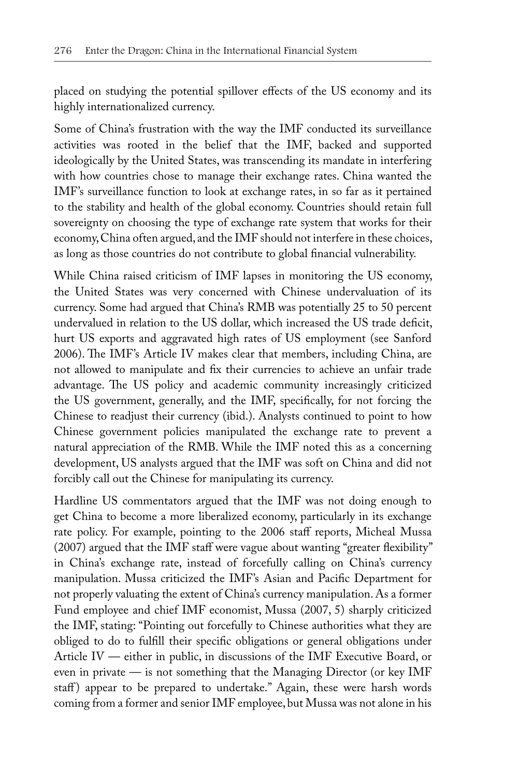placed on studying the potential spillover effects of the US economy and its highly internationalized currency.

Some of China's frustration with the way the IMF conducted its surveillance activities was rooted in the belief that the IMF, backed and supported ideologically by the United States, was transcending its mandate in interfering with how countries chose to manage their exchange rates. China wanted the IMF's surveillance function to look at exchange rates, in so far as it pertained to the stability and health of the global economy. Countries should retain full sovereignty on choosing the type of exchange rate system that works for their economy, China often argued, and the IMF should not interfere in these choices, as long as those countries do not contribute to global financial vulnerability.

While China raised criticism of IMF lapses in monitoring the US economy, the United States was very concerned with Chinese undervaluation of its currency. Some had argued that China's RMB was potentially 25 to 50 percent undervalued in relation to the US dollar, which increased the US trade deficit, hurt US exports and aggravated high rates of US employment (see Sanford 2006). The IMF's Article IV makes clear that members, including China, are not allowed to manipulate and fix their currencies to achieve an unfair trade advantage. The US policy and academic community increasingly criticized the US government, generally, and the IMF, specifically, for not forcing the Chinese to readjust their currency (ibid.). Analysts continued to point to how Chinese government policies manipulated the exchange rate to prevent a natural appreciation of the RMB. While the IMF noted this as a concerning development, US analysts argued that the IMF was soft on China and did not forcibly call out the Chinese for manipulating its currency.

Hardline US commentators argued that the IMF was not doing enough to get China to become a more liberalized economy, particularly in its exchange rate policy. For example, pointing to the 2006 staff reports, Micheal Mussa (2007) argued that the IMF staff were vague about wanting "greater flexibility" in China's exchange rate, instead of forcefully calling on China's currency manipulation. Mussa criticized the IMF's Asian and Pacific Department for not properly valuating the extent of China's currency manipulation. As a former Fund employee and chief IMF economist, Mussa (2007, 5) sharply criticized the IMF, stating: "Pointing out forcefully to Chinese authorities what they are obliged to do to fulfill their specific obligations or general obligations under Article IV — either in public, in discussions of the IMF Executive Board, or even in private — is not something that the Managing Director (or key IMF staff) appear to be prepared to undertake." Again, these were harsh words coming from a former and senior IMF employee, but Mussa was not alone in his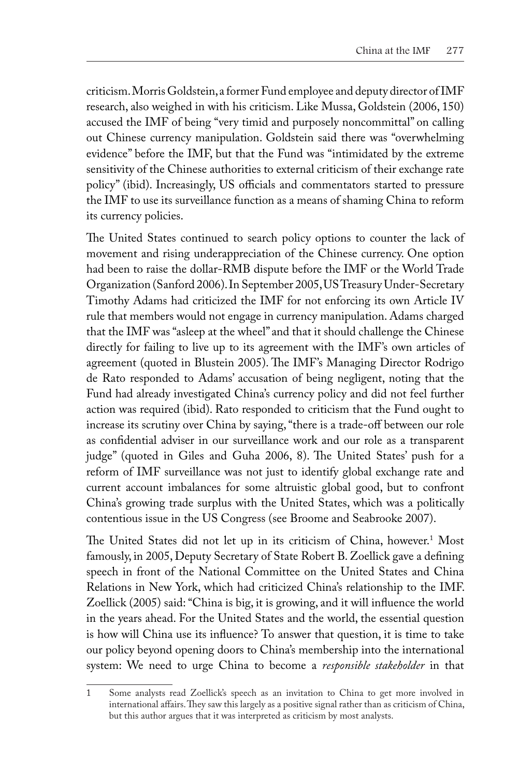criticism. Morris Goldstein, a former Fund employee and deputy director of IMF research, also weighed in with his criticism. Like Mussa, Goldstein (2006, 150) accused the IMF of being "very timid and purposely noncommittal" on calling out Chinese currency manipulation. Goldstein said there was "overwhelming evidence" before the IMF, but that the Fund was "intimidated by the extreme sensitivity of the Chinese authorities to external criticism of their exchange rate policy" (ibid). Increasingly, US officials and commentators started to pressure the IMF to use its surveillance function as a means of shaming China to reform its currency policies.

The United States continued to search policy options to counter the lack of movement and rising underappreciation of the Chinese currency. One option had been to raise the dollar-RMB dispute before the IMF or the World Trade Organization (Sanford 2006). In September 2005, US Treasury Under-Secretary Timothy Adams had criticized the IMF for not enforcing its own Article IV rule that members would not engage in currency manipulation. Adams charged that the IMF was "asleep at the wheel" and that it should challenge the Chinese directly for failing to live up to its agreement with the IMF's own articles of agreement (quoted in Blustein 2005). The IMF's Managing Director Rodrigo de Rato responded to Adams' accusation of being negligent, noting that the Fund had already investigated China's currency policy and did not feel further action was required (ibid). Rato responded to criticism that the Fund ought to increase its scrutiny over China by saying, "there is a trade-off between our role as confidential adviser in our surveillance work and our role as a transparent judge" (quoted in Giles and Guha 2006, 8). The United States' push for a reform of IMF surveillance was not just to identify global exchange rate and current account imbalances for some altruistic global good, but to confront China's growing trade surplus with the United States, which was a politically contentious issue in the US Congress (see Broome and Seabrooke 2007).

The United States did not let up in its criticism of China, however.1 Most famously, in 2005, Deputy Secretary of State Robert B. Zoellick gave a defining speech in front of the National Committee on the United States and China Relations in New York, which had criticized China's relationship to the IMF. Zoellick (2005) said: "China is big, it is growing, and it will influence the world in the years ahead. For the United States and the world, the essential question is how will China use its influence? To answer that question, it is time to take our policy beyond opening doors to China's membership into the international system: We need to urge China to become a *responsible stakeholder* in that

<sup>1</sup> Some analysts read Zoellick's speech as an invitation to China to get more involved in international affairs. They saw this largely as a positive signal rather than as criticism of China, but this author argues that it was interpreted as criticism by most analysts.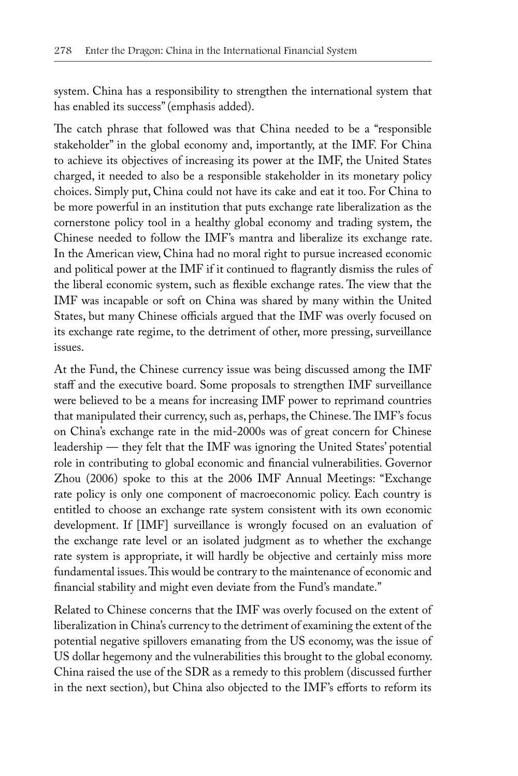system. China has a responsibility to strengthen the international system that has enabled its success" (emphasis added).

The catch phrase that followed was that China needed to be a "responsible stakeholder" in the global economy and, importantly, at the IMF. For China to achieve its objectives of increasing its power at the IMF, the United States charged, it needed to also be a responsible stakeholder in its monetary policy choices. Simply put, China could not have its cake and eat it too. For China to be more powerful in an institution that puts exchange rate liberalization as the cornerstone policy tool in a healthy global economy and trading system, the Chinese needed to follow the IMF's mantra and liberalize its exchange rate. In the American view, China had no moral right to pursue increased economic and political power at the IMF if it continued to flagrantly dismiss the rules of the liberal economic system, such as flexible exchange rates. The view that the IMF was incapable or soft on China was shared by many within the United States, but many Chinese officials argued that the IMF was overly focused on its exchange rate regime, to the detriment of other, more pressing, surveillance issues.

At the Fund, the Chinese currency issue was being discussed among the IMF staff and the executive board. Some proposals to strengthen IMF surveillance were believed to be a means for increasing IMF power to reprimand countries that manipulated their currency, such as, perhaps, the Chinese. The IMF's focus on China's exchange rate in the mid-2000s was of great concern for Chinese leadership — they felt that the IMF was ignoring the United States' potential role in contributing to global economic and financial vulnerabilities. Governor Zhou (2006) spoke to this at the 2006 IMF Annual Meetings: "Exchange rate policy is only one component of macroeconomic policy. Each country is entitled to choose an exchange rate system consistent with its own economic development. If [IMF] surveillance is wrongly focused on an evaluation of the exchange rate level or an isolated judgment as to whether the exchange rate system is appropriate, it will hardly be objective and certainly miss more fundamental issues. This would be contrary to the maintenance of economic and financial stability and might even deviate from the Fund's mandate."

Related to Chinese concerns that the IMF was overly focused on the extent of liberalization in China's currency to the detriment of examining the extent of the potential negative spillovers emanating from the US economy, was the issue of US dollar hegemony and the vulnerabilities this brought to the global economy. China raised the use of the SDR as a remedy to this problem (discussed further in the next section), but China also objected to the IMF's efforts to reform its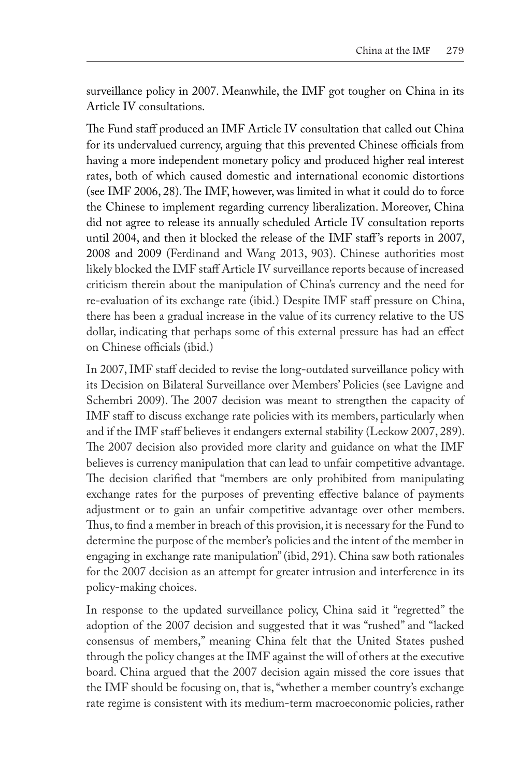surveillance policy in 2007. Meanwhile, the IMF got tougher on China in its Article IV consultations.

The Fund staff produced an IMF Article IV consultation that called out China for its undervalued currency, arguing that this prevented Chinese officials from having a more independent monetary policy and produced higher real interest rates, both of which caused domestic and international economic distortions (see IMF 2006, 28). The IMF, however, was limited in what it could do to force the Chinese to implement regarding currency liberalization. Moreover, China did not agree to release its annually scheduled Article IV consultation reports until 2004, and then it blocked the release of the IMF staff 's reports in 2007, 2008 and 2009 (Ferdinand and Wang 2013, 903). Chinese authorities most likely blocked the IMF staff Article IV surveillance reports because of increased criticism therein about the manipulation of China's currency and the need for re-evaluation of its exchange rate (ibid.) Despite IMF staff pressure on China, there has been a gradual increase in the value of its currency relative to the US dollar, indicating that perhaps some of this external pressure has had an effect on Chinese officials (ibid.)

In 2007, IMF staff decided to revise the long-outdated surveillance policy with its Decision on Bilateral Surveillance over Members' Policies (see Lavigne and Schembri 2009). The 2007 decision was meant to strengthen the capacity of IMF staff to discuss exchange rate policies with its members, particularly when and if the IMF staff believes it endangers external stability (Leckow 2007, 289). The 2007 decision also provided more clarity and guidance on what the IMF believes is currency manipulation that can lead to unfair competitive advantage. The decision clarified that "members are only prohibited from manipulating exchange rates for the purposes of preventing effective balance of payments adjustment or to gain an unfair competitive advantage over other members. Thus, to find a member in breach of this provision, it is necessary for the Fund to determine the purpose of the member's policies and the intent of the member in engaging in exchange rate manipulation" (ibid, 291). China saw both rationales for the 2007 decision as an attempt for greater intrusion and interference in its policy-making choices.

In response to the updated surveillance policy, China said it "regretted" the adoption of the 2007 decision and suggested that it was "rushed" and "lacked consensus of members," meaning China felt that the United States pushed through the policy changes at the IMF against the will of others at the executive board. China argued that the 2007 decision again missed the core issues that the IMF should be focusing on, that is, "whether a member country's exchange rate regime is consistent with its medium-term macroeconomic policies, rather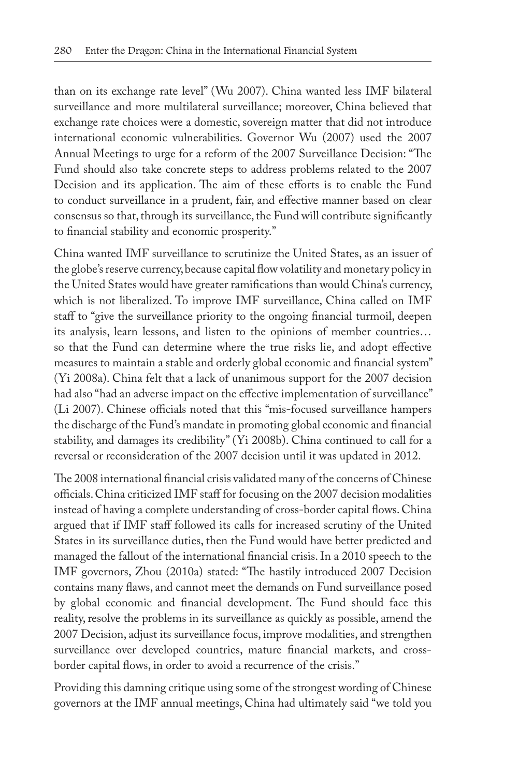than on its exchange rate level" (Wu 2007). China wanted less IMF bilateral surveillance and more multilateral surveillance; moreover, China believed that exchange rate choices were a domestic, sovereign matter that did not introduce international economic vulnerabilities. Governor Wu (2007) used the 2007 Annual Meetings to urge for a reform of the 2007 Surveillance Decision: "The Fund should also take concrete steps to address problems related to the 2007 Decision and its application. The aim of these efforts is to enable the Fund to conduct surveillance in a prudent, fair, and effective manner based on clear consensus so that, through its surveillance, the Fund will contribute significantly to financial stability and economic prosperity."

China wanted IMF surveillance to scrutinize the United States, as an issuer of the globe's reserve currency, because capital flow volatility and monetary policy in the United States would have greater ramifications than would China's currency, which is not liberalized. To improve IMF surveillance, China called on IMF staff to "give the surveillance priority to the ongoing financial turmoil, deepen its analysis, learn lessons, and listen to the opinions of member countries… so that the Fund can determine where the true risks lie, and adopt effective measures to maintain a stable and orderly global economic and financial system" (Yi 2008a). China felt that a lack of unanimous support for the 2007 decision had also "had an adverse impact on the effective implementation of surveillance" (Li 2007). Chinese officials noted that this "mis-focused surveillance hampers the discharge of the Fund's mandate in promoting global economic and financial stability, and damages its credibility" (Yi 2008b). China continued to call for a reversal or reconsideration of the 2007 decision until it was updated in 2012.

The 2008 international financial crisis validated many of the concerns of Chinese officials. China criticized IMF staff for focusing on the 2007 decision modalities instead of having a complete understanding of cross-border capital flows. China argued that if IMF staff followed its calls for increased scrutiny of the United States in its surveillance duties, then the Fund would have better predicted and managed the fallout of the international financial crisis. In a 2010 speech to the IMF governors, Zhou (2010a) stated: "The hastily introduced 2007 Decision contains many flaws, and cannot meet the demands on Fund surveillance posed by global economic and financial development. The Fund should face this reality, resolve the problems in its surveillance as quickly as possible, amend the 2007 Decision, adjust its surveillance focus, improve modalities, and strengthen surveillance over developed countries, mature financial markets, and crossborder capital flows, in order to avoid a recurrence of the crisis."

Providing this damning critique using some of the strongest wording of Chinese governors at the IMF annual meetings, China had ultimately said "we told you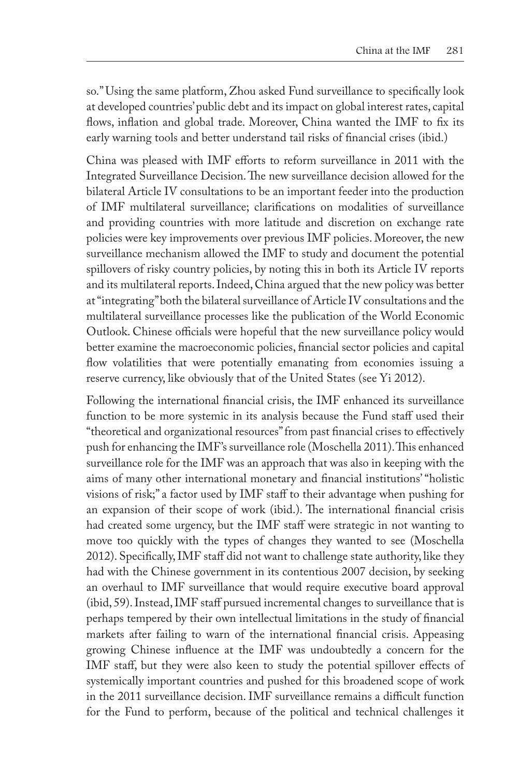so." Using the same platform, Zhou asked Fund surveillance to specifically look at developed countries' public debt and its impact on global interest rates, capital flows, inflation and global trade. Moreover, China wanted the IMF to fix its early warning tools and better understand tail risks of financial crises (ibid.)

China was pleased with IMF efforts to reform surveillance in 2011 with the Integrated Surveillance Decision. The new surveillance decision allowed for the bilateral Article IV consultations to be an important feeder into the production of IMF multilateral surveillance; clarifications on modalities of surveillance and providing countries with more latitude and discretion on exchange rate policies were key improvements over previous IMF policies. Moreover, the new surveillance mechanism allowed the IMF to study and document the potential spillovers of risky country policies, by noting this in both its Article IV reports and its multilateral reports. Indeed, China argued that the new policy was better at "integrating" both the bilateral surveillance of Article IV consultations and the multilateral surveillance processes like the publication of the World Economic Outlook. Chinese officials were hopeful that the new surveillance policy would better examine the macroeconomic policies, financial sector policies and capital flow volatilities that were potentially emanating from economies issuing a reserve currency, like obviously that of the United States (see Yi 2012).

Following the international financial crisis, the IMF enhanced its surveillance function to be more systemic in its analysis because the Fund staff used their "theoretical and organizational resources" from past financial crises to effectively push for enhancing the IMF's surveillance role (Moschella 2011). This enhanced surveillance role for the IMF was an approach that was also in keeping with the aims of many other international monetary and financial institutions' "holistic visions of risk;" a factor used by IMF staff to their advantage when pushing for an expansion of their scope of work (ibid.). The international financial crisis had created some urgency, but the IMF staff were strategic in not wanting to move too quickly with the types of changes they wanted to see (Moschella 2012). Specifically, IMF staff did not want to challenge state authority, like they had with the Chinese government in its contentious 2007 decision, by seeking an overhaul to IMF surveillance that would require executive board approval (ibid, 59). Instead, IMF staff pursued incremental changes to surveillance that is perhaps tempered by their own intellectual limitations in the study of financial markets after failing to warn of the international financial crisis. Appeasing growing Chinese influence at the IMF was undoubtedly a concern for the IMF staff, but they were also keen to study the potential spillover effects of systemically important countries and pushed for this broadened scope of work in the 2011 surveillance decision. IMF surveillance remains a difficult function for the Fund to perform, because of the political and technical challenges it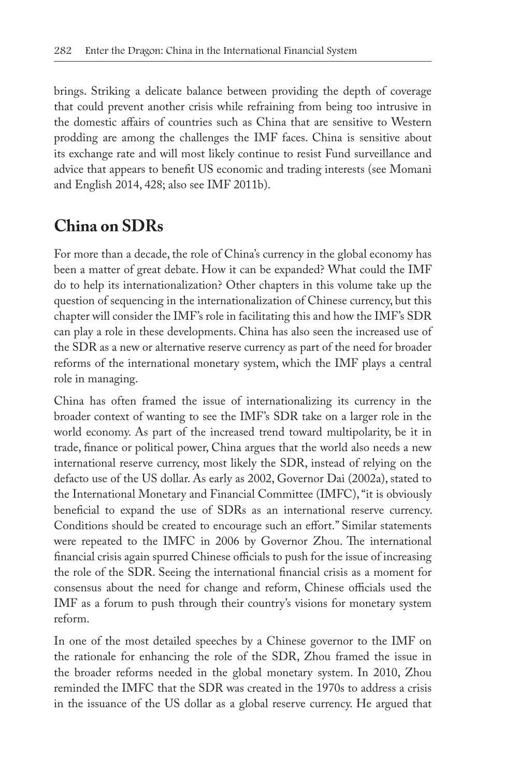brings. Striking a delicate balance between providing the depth of coverage that could prevent another crisis while refraining from being too intrusive in the domestic affairs of countries such as China that are sensitive to Western prodding are among the challenges the IMF faces. China is sensitive about its exchange rate and will most likely continue to resist Fund surveillance and advice that appears to benefit US economic and trading interests (see Momani and English 2014, 428; also see IMF 2011b).

### **China on SDRs**

For more than a decade, the role of China's currency in the global economy has been a matter of great debate. How it can be expanded? What could the IMF do to help its internationalization? Other chapters in this volume take up the question of sequencing in the internationalization of Chinese currency, but this chapter will consider the IMF's role in facilitating this and how the IMF's SDR can play a role in these developments. China has also seen the increased use of the SDR as a new or alternative reserve currency as part of the need for broader reforms of the international monetary system, which the IMF plays a central role in managing.

China has often framed the issue of internationalizing its currency in the broader context of wanting to see the IMF's SDR take on a larger role in the world economy. As part of the increased trend toward multipolarity, be it in trade, finance or political power, China argues that the world also needs a new international reserve currency, most likely the SDR, instead of relying on the defacto use of the US dollar. As early as 2002, Governor Dai (2002a), stated to the International Monetary and Financial Committee (IMFC), "it is obviously beneficial to expand the use of SDRs as an international reserve currency. Conditions should be created to encourage such an effort." Similar statements were repeated to the IMFC in 2006 by Governor Zhou. The international financial crisis again spurred Chinese officials to push for the issue of increasing the role of the SDR. Seeing the international financial crisis as a moment for consensus about the need for change and reform, Chinese officials used the IMF as a forum to push through their country's visions for monetary system reform.

In one of the most detailed speeches by a Chinese governor to the IMF on the rationale for enhancing the role of the SDR, Zhou framed the issue in the broader reforms needed in the global monetary system. In 2010, Zhou reminded the IMFC that the SDR was created in the 1970s to address a crisis in the issuance of the US dollar as a global reserve currency. He argued that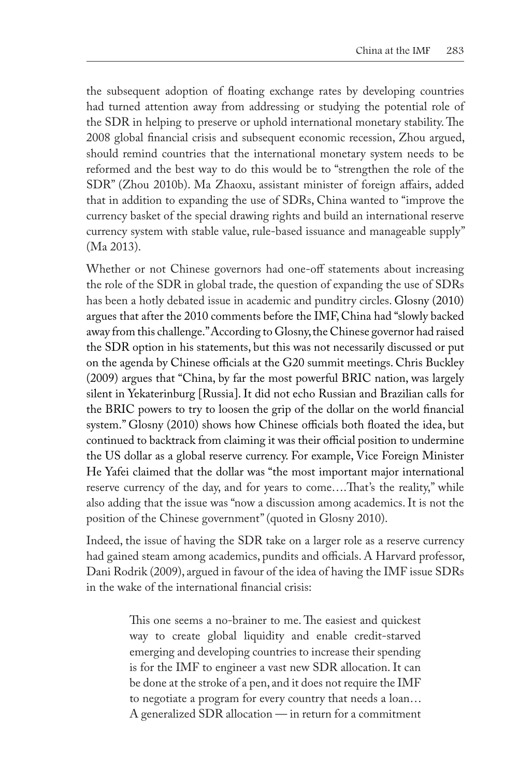the subsequent adoption of floating exchange rates by developing countries had turned attention away from addressing or studying the potential role of the SDR in helping to preserve or uphold international monetary stability. The 2008 global financial crisis and subsequent economic recession, Zhou argued, should remind countries that the international monetary system needs to be reformed and the best way to do this would be to "strengthen the role of the SDR" (Zhou 2010b). Ma Zhaoxu, assistant minister of foreign affairs, added that in addition to expanding the use of SDRs, China wanted to "improve the currency basket of the special drawing rights and build an international reserve currency system with stable value, rule-based issuance and manageable supply" (Ma 2013).

Whether or not Chinese governors had one-off statements about increasing the role of the SDR in global trade, the question of expanding the use of SDRs has been a hotly debated issue in academic and punditry circles. Glosny (2010) argues that after the 2010 comments before the IMF, China had "slowly backed away from this challenge." According to Glosny, the Chinese governor had raised the SDR option in his statements, but this was not necessarily discussed or put on the agenda by Chinese officials at the G20 summit meetings. Chris Buckley (2009) argues that "China, by far the most powerful BRIC nation, was largely silent in Yekaterinburg [Russia]. It did not echo Russian and Brazilian calls for the BRIC powers to try to loosen the grip of the dollar on the world financial system." Glosny (2010) shows how Chinese officials both floated the idea, but continued to backtrack from claiming it was their official position to undermine the US dollar as a global reserve currency. For example, Vice Foreign Minister He Yafei claimed that the dollar was "the most important major international reserve currency of the day, and for years to come….That's the reality," while also adding that the issue was "now a discussion among academics. It is not the position of the Chinese government" (quoted in Glosny 2010).

Indeed, the issue of having the SDR take on a larger role as a reserve currency had gained steam among academics, pundits and officials. A Harvard professor, Dani Rodrik (2009), argued in favour of the idea of having the IMF issue SDRs in the wake of the international financial crisis:

> This one seems a no-brainer to me. The easiest and quickest way to create global liquidity and enable credit-starved emerging and developing countries to increase their spending is for the IMF to engineer a vast new SDR allocation. It can be done at the stroke of a pen, and it does not require the IMF to negotiate a program for every country that needs a loan… A generalized SDR allocation — in return for a commitment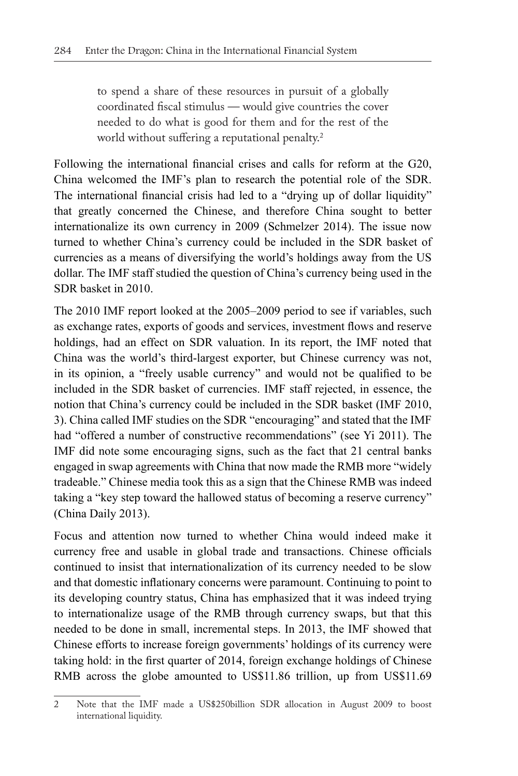to spend a share of these resources in pursuit of a globally coordinated fiscal stimulus — would give countries the cover needed to do what is good for them and for the rest of the world without suffering a reputational penalty.<sup>2</sup>

Following the international financial crises and calls for reform at the G20, China welcomed the IMF's plan to research the potential role of the SDR. The international financial crisis had led to a "drying up of dollar liquidity" that greatly concerned the Chinese, and therefore China sought to better internationalize its own currency in 2009 (Schmelzer 2014). The issue now turned to whether China's currency could be included in the SDR basket of currencies as a means of diversifying the world's holdings away from the US dollar. The IMF staff studied the question of China's currency being used in the SDR basket in 2010.

The 2010 IMF report looked at the 2005–2009 period to see if variables, such as exchange rates, exports of goods and services, investment flows and reserve holdings, had an effect on SDR valuation. In its report, the IMF noted that China was the world's third-largest exporter, but Chinese currency was not, in its opinion, a "freely usable currency" and would not be qualified to be included in the SDR basket of currencies. IMF staff rejected, in essence, the notion that China's currency could be included in the SDR basket (IMF 2010, 3). China called IMF studies on the SDR "encouraging" and stated that the IMF had "offered a number of constructive recommendations" (see Yi 2011). The IMF did note some encouraging signs, such as the fact that 21 central banks engaged in swap agreements with China that now made the RMB more "widely tradeable." Chinese media took this as a sign that the Chinese RMB was indeed taking a "key step toward the hallowed status of becoming a reserve currency" (China Daily 2013).

Focus and attention now turned to whether China would indeed make it currency free and usable in global trade and transactions. Chinese officials continued to insist that internationalization of its currency needed to be slow and that domestic inflationary concerns were paramount. Continuing to point to its developing country status, China has emphasized that it was indeed trying to internationalize usage of the RMB through currency swaps, but that this needed to be done in small, incremental steps. In 2013, the IMF showed that Chinese efforts to increase foreign governments' holdings of its currency were taking hold: in the first quarter of 2014, foreign exchange holdings of Chinese RMB across the globe amounted to US\$11.86 trillion, up from US\$11.69

<sup>2</sup> Note that the IMF made a US\$250billion SDR allocation in August 2009 to boost international liquidity.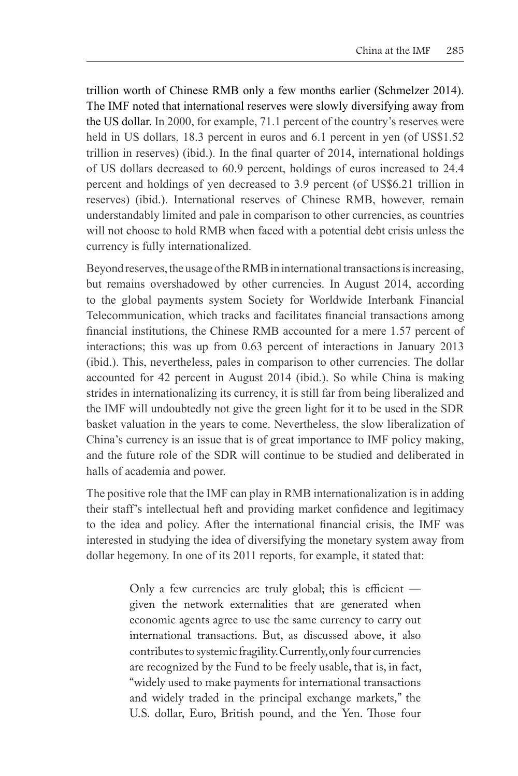trillion worth of Chinese RMB only a few months earlier (Schmelzer 2014). The IMF noted that international reserves were slowly diversifying away from the US dollar. In 2000, for example, 71.1 percent of the country's reserves were held in US dollars, 18.3 percent in euros and 6.1 percent in yen (of US\$1.52) trillion in reserves) (ibid.). In the final quarter of 2014, international holdings of US dollars decreased to 60.9 percent, holdings of euros increased to 24.4 percent and holdings of yen decreased to 3.9 percent (of US\$6.21 trillion in reserves) (ibid.). International reserves of Chinese RMB, however, remain understandably limited and pale in comparison to other currencies, as countries will not choose to hold RMB when faced with a potential debt crisis unless the currency is fully internationalized.

Beyond reserves, the usage of the RMB in international transactions is increasing, but remains overshadowed by other currencies. In August 2014, according to the global payments system Society for Worldwide Interbank Financial Telecommunication, which tracks and facilitates financial transactions among financial institutions, the Chinese RMB accounted for a mere 1.57 percent of interactions; this was up from 0.63 percent of interactions in January 2013 (ibid.). This, nevertheless, pales in comparison to other currencies. The dollar accounted for 42 percent in August 2014 (ibid.). So while China is making strides in internationalizing its currency, it is still far from being liberalized and the IMF will undoubtedly not give the green light for it to be used in the SDR basket valuation in the years to come. Nevertheless, the slow liberalization of China's currency is an issue that is of great importance to IMF policy making, and the future role of the SDR will continue to be studied and deliberated in halls of academia and power.

The positive role that the IMF can play in RMB internationalization is in adding their staff's intellectual heft and providing market confidence and legitimacy to the idea and policy. After the international financial crisis, the IMF was interested in studying the idea of diversifying the monetary system away from dollar hegemony. In one of its 2011 reports, for example, it stated that:

> Only a few currencies are truly global; this is efficient given the network externalities that are generated when economic agents agree to use the same currency to carry out international transactions. But, as discussed above, it also contributes to systemic fragility. Currently, only four currencies are recognized by the Fund to be freely usable, that is, in fact, "widely used to make payments for international transactions and widely traded in the principal exchange markets," the U.S. dollar, Euro, British pound, and the Yen. Those four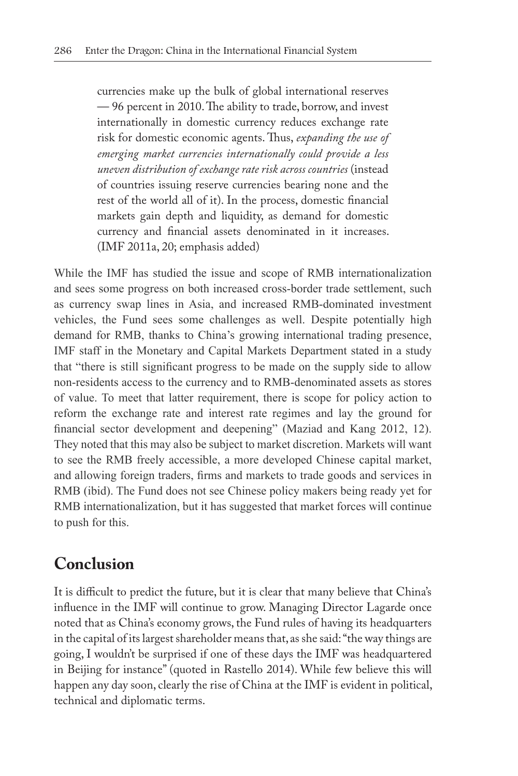currencies make up the bulk of global international reserves — 96 percent in 2010. The ability to trade, borrow, and invest internationally in domestic currency reduces exchange rate risk for domestic economic agents. Thus, *expanding the use of emerging market currencies internationally could provide a less uneven distribution of exchange rate risk across countries* (instead of countries issuing reserve currencies bearing none and the rest of the world all of it). In the process, domestic financial markets gain depth and liquidity, as demand for domestic currency and financial assets denominated in it increases. (IMF 2011a, 20; emphasis added)

While the IMF has studied the issue and scope of RMB internationalization and sees some progress on both increased cross-border trade settlement, such as currency swap lines in Asia, and increased RMB-dominated investment vehicles, the Fund sees some challenges as well. Despite potentially high demand for RMB, thanks to China's growing international trading presence, IMF staff in the Monetary and Capital Markets Department stated in a study that "there is still significant progress to be made on the supply side to allow non-residents access to the currency and to RMB-denominated assets as stores of value. To meet that latter requirement, there is scope for policy action to reform the exchange rate and interest rate regimes and lay the ground for financial sector development and deepening" (Maziad and Kang 2012, 12). They noted that this may also be subject to market discretion. Markets will want to see the RMB freely accessible, a more developed Chinese capital market, and allowing foreign traders, firms and markets to trade goods and services in RMB (ibid). The Fund does not see Chinese policy makers being ready yet for RMB internationalization, but it has suggested that market forces will continue to push for this.

## **Conclusion**

It is difficult to predict the future, but it is clear that many believe that China's influence in the IMF will continue to grow. Managing Director Lagarde once noted that as China's economy grows, the Fund rules of having its headquarters in the capital of its largest shareholder means that, as she said: "the way things are going, I wouldn't be surprised if one of these days the IMF was headquartered in Beijing for instance" (quoted in Rastello 2014). While few believe this will happen any day soon, clearly the rise of China at the IMF is evident in political, technical and diplomatic terms.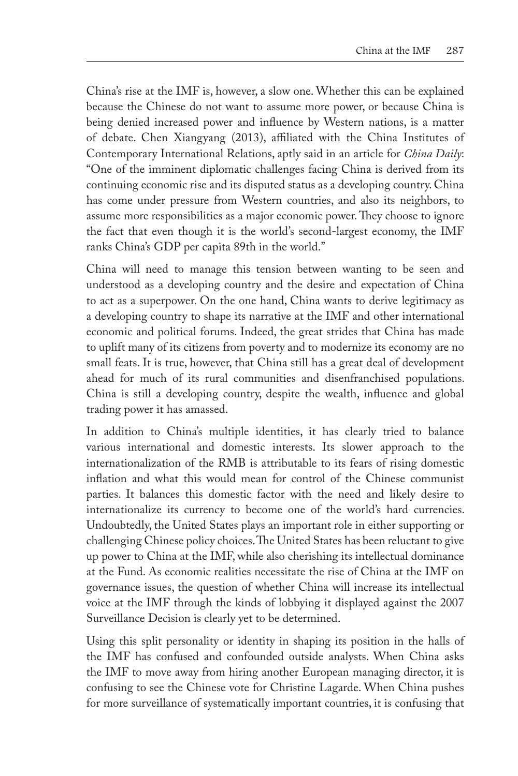China's rise at the IMF is, however, a slow one. Whether this can be explained because the Chinese do not want to assume more power, or because China is being denied increased power and influence by Western nations, is a matter of debate. Chen Xiangyang (2013), affiliated with the China Institutes of Contemporary International Relations, aptly said in an article for *China Daily*: "One of the imminent diplomatic challenges facing China is derived from its continuing economic rise and its disputed status as a developing country. China has come under pressure from Western countries, and also its neighbors, to assume more responsibilities as a major economic power. They choose to ignore the fact that even though it is the world's second-largest economy, the IMF ranks China's GDP per capita 89th in the world."

China will need to manage this tension between wanting to be seen and understood as a developing country and the desire and expectation of China to act as a superpower. On the one hand, China wants to derive legitimacy as a developing country to shape its narrative at the IMF and other international economic and political forums. Indeed, the great strides that China has made to uplift many of its citizens from poverty and to modernize its economy are no small feats. It is true, however, that China still has a great deal of development ahead for much of its rural communities and disenfranchised populations. China is still a developing country, despite the wealth, influence and global trading power it has amassed.

In addition to China's multiple identities, it has clearly tried to balance various international and domestic interests. Its slower approach to the internationalization of the RMB is attributable to its fears of rising domestic inflation and what this would mean for control of the Chinese communist parties. It balances this domestic factor with the need and likely desire to internationalize its currency to become one of the world's hard currencies. Undoubtedly, the United States plays an important role in either supporting or challenging Chinese policy choices. The United States has been reluctant to give up power to China at the IMF, while also cherishing its intellectual dominance at the Fund. As economic realities necessitate the rise of China at the IMF on governance issues, the question of whether China will increase its intellectual voice at the IMF through the kinds of lobbying it displayed against the 2007 Surveillance Decision is clearly yet to be determined.

Using this split personality or identity in shaping its position in the halls of the IMF has confused and confounded outside analysts. When China asks the IMF to move away from hiring another European managing director, it is confusing to see the Chinese vote for Christine Lagarde. When China pushes for more surveillance of systematically important countries, it is confusing that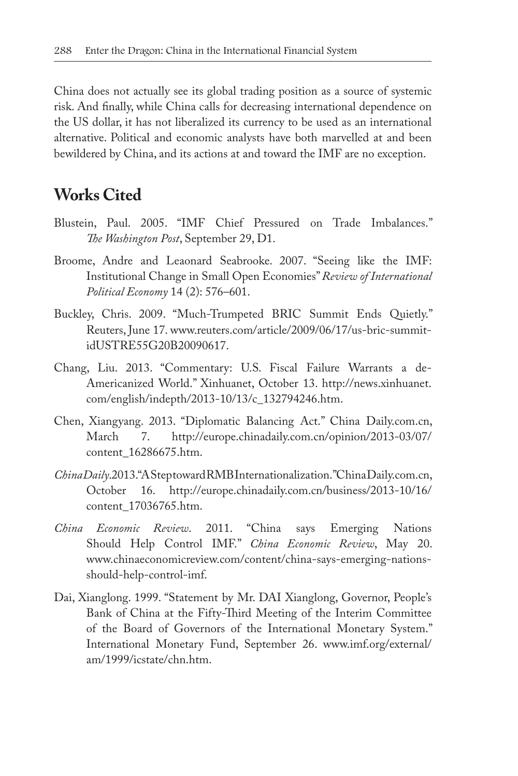China does not actually see its global trading position as a source of systemic risk. And finally, while China calls for decreasing international dependence on the US dollar, it has not liberalized its currency to be used as an international alternative. Political and economic analysts have both marvelled at and been bewildered by China, and its actions at and toward the IMF are no exception.

#### **Works Cited**

- Blustein, Paul. 2005. "IMF Chief Pressured on Trade Imbalances." *The Washington Post*, September 29, D1.
- Broome, Andre and Leaonard Seabrooke. 2007. "Seeing like the IMF: Institutional Change in Small Open Economies" *Review of International Political Economy* 14 (2): 576–601.
- Buckley, Chris. 2009. "Much-Trumpeted BRIC Summit Ends Quietly." Reuters, June 17. www.reuters.com/article/2009/06/17/us-bric-summitidUSTRE55G20B20090617.
- Chang, Liu. 2013. "Commentary: U.S. Fiscal Failure Warrants a de-Americanized World." Xinhuanet, October 13. http://news.xinhuanet. com/english/indepth/2013-10/13/c\_132794246.htm.
- Chen, Xiangyang. 2013. "Diplomatic Balancing Act." China Daily.com.cn, March 7. http://europe.chinadaily.com.cn/opinion/2013-03/07/ content\_16286675.htm.
- *China Daily*. 2013. "A Step toward RMB Internationalization." China Daily.com.cn, October 16. http://europe.chinadaily.com.cn/business/2013-10/16/ content\_17036765.htm.
- *China Economic Review*. 2011. "China says Emerging Nations Should Help Control IMF." *China Economic Review*, May 20. www.chinaeconomicreview.com/content/china-says-emerging-nationsshould-help-control-imf.
- Dai, Xianglong. 1999. "Statement by Mr. DAI Xianglong, Governor, People's Bank of China at the Fifty-Third Meeting of the Interim Committee of the Board of Governors of the International Monetary System." International Monetary Fund, September 26. www.imf.org/external/ am/1999/icstate/chn.htm.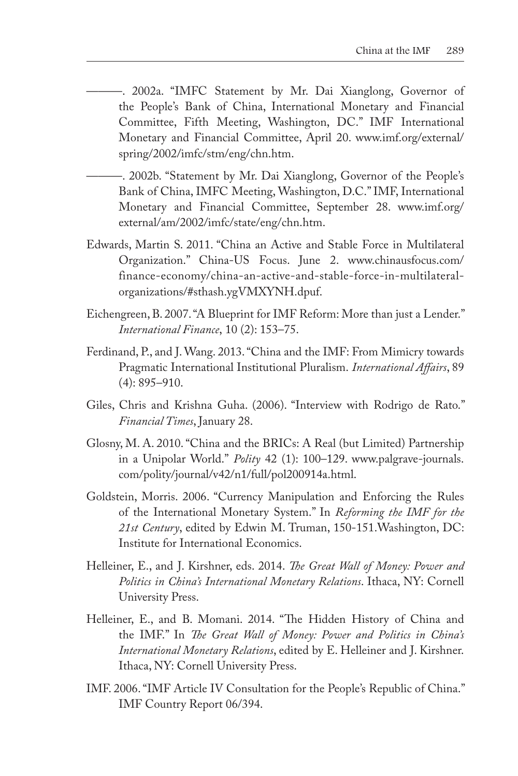- ———. 2002a. "IMFC Statement by Mr. Dai Xianglong, Governor of the People's Bank of China, International Monetary and Financial Committee, Fifth Meeting, Washington, DC." IMF International Monetary and Financial Committee, April 20. www.imf.org/external/ spring/2002/imfc/stm/eng/chn.htm.
- ———. 2002b. "Statement by Mr. Dai Xianglong, Governor of the People's Bank of China, IMFC Meeting, Washington, D.C." IMF, International Monetary and Financial Committee, September 28. www.imf.org/ external/am/2002/imfc/state/eng/chn.htm.
- Edwards, Martin S. 2011. "China an Active and Stable Force in Multilateral Organization." China-US Focus. June 2. www.chinausfocus.com/ finance-economy/china-an-active-and-stable-force-in-multilateralorganizations/#sthash.ygVMXYNH.dpuf.
- Eichengreen, B. 2007. "A Blueprint for IMF Reform: More than just a Lender." *International Finance*, 10 (2): 153–75.
- Ferdinand, P., and J. Wang. 2013. "China and the IMF: From Mimicry towards Pragmatic International Institutional Pluralism. *International Affairs*, 89 (4): 895–910.
- Giles, Chris and Krishna Guha. (2006). "Interview with Rodrigo de Rato." *Financial Times*, January 28.
- Glosny, M. A. 2010. "China and the BRICs: A Real (but Limited) Partnership in a Unipolar World." *Polity* 42 (1): 100–129. www.palgrave-journals. com/polity/journal/v42/n1/full/pol200914a.html.
- Goldstein, Morris. 2006. "Currency Manipulation and Enforcing the Rules of the International Monetary System." In *Reforming the IMF for the 21st Century*, edited by Edwin M. Truman, 150-151.Washington, DC: Institute for International Economics.
- Helleiner, E., and J. Kirshner, eds. 2014. *The Great Wall of Money: Power and Politics in China's International Monetary Relations*. Ithaca, NY: Cornell University Press.
- Helleiner, E., and B. Momani. 2014. "The Hidden History of China and the IMF." In *The Great Wall of Money: Power and Politics in China's International Monetary Relations*, edited by E. Helleiner and J. Kirshner. Ithaca, NY: Cornell University Press.
- IMF. 2006. "IMF Article IV Consultation for the People's Republic of China." IMF Country Report 06/394.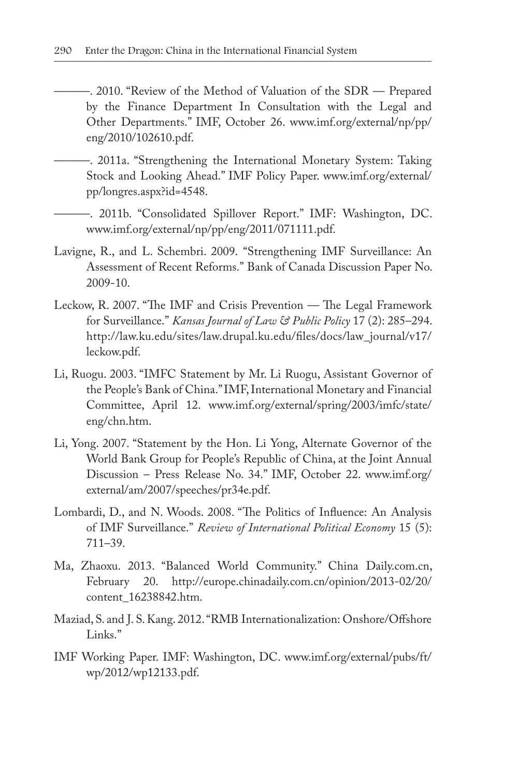- ———. 2010. "Review of the Method of Valuation of the SDR Prepared by the Finance Department In Consultation with the Legal and Other Departments." IMF, October 26. www.imf.org/external/np/pp/ eng/2010/102610.pdf.
	- ———. 2011a. "Strengthening the International Monetary System: Taking Stock and Looking Ahead." IMF Policy Paper. www.imf.org/external/ pp/longres.aspx?id=4548.
- ———. 2011b. "Consolidated Spillover Report." IMF: Washington, DC. www.imf.org/external/np/pp/eng/2011/071111.pdf.
- Lavigne, R., and L. Schembri. 2009. "Strengthening IMF Surveillance: An Assessment of Recent Reforms." Bank of Canada Discussion Paper No. 2009-10.
- Leckow, R. 2007. "The IMF and Crisis Prevention The Legal Framework for Surveillance." *Kansas Journal of Law & Public Policy* 17 (2): 285–294. http://law.ku.edu/sites/law.drupal.ku.edu/files/docs/law\_journal/v17/ leckow.pdf.
- Li, Ruogu. 2003. "IMFC Statement by Mr. Li Ruogu, Assistant Governor of the People's Bank of China." IMF, International Monetary and Financial Committee, April 12. www.imf.org/external/spring/2003/imfc/state/ eng/chn.htm.
- Li, Yong. 2007. "Statement by the Hon. Li Yong, Alternate Governor of the World Bank Group for People's Republic of China, at the Joint Annual Discussion – Press Release No. 34." IMF, October 22. www.imf.org/ external/am/2007/speeches/pr34e.pdf.
- Lombardi, D., and N. Woods. 2008. "The Politics of Influence: An Analysis of IMF Surveillance." *Review of International Political Economy* 15 (5): 711–39.
- Ma, Zhaoxu. 2013. "Balanced World Community." China Daily.com.cn, February 20. http://europe.chinadaily.com.cn/opinion/2013-02/20/ content\_16238842.htm.
- Maziad, S. and J. S. Kang. 2012. "RMB Internationalization: Onshore/Offshore Links."
- IMF Working Paper. IMF: Washington, DC. www.imf.org/external/pubs/ft/ wp/2012/wp12133.pdf.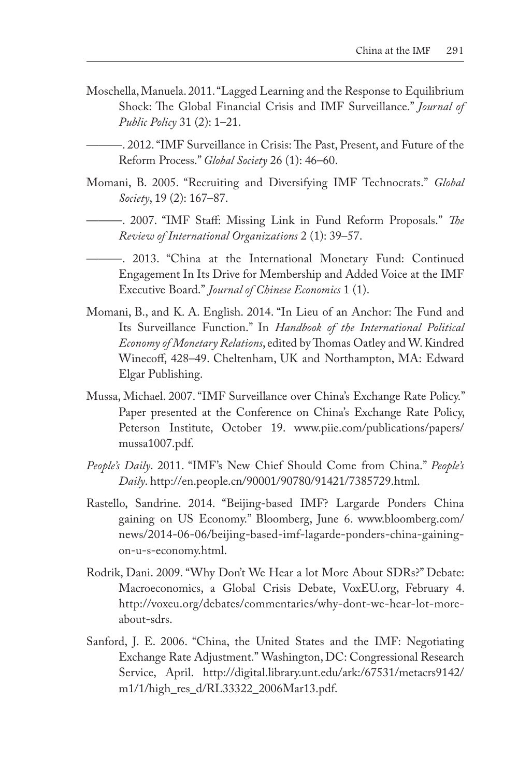Moschella, Manuela. 2011. "Lagged Learning and the Response to Equilibrium Shock: The Global Financial Crisis and IMF Surveillance." *Journal of Public Policy* 31 (2): 1–21.

———. 2012. "IMF Surveillance in Crisis: The Past, Present, and Future of the Reform Process." *Global Society* 26 (1): 46–60.

- Momani, B. 2005. "Recruiting and Diversifying IMF Technocrats." *Global Society*, 19 (2): 167–87.
	- ———. 2007. "IMF Staff: Missing Link in Fund Reform Proposals." *The Review of International Organizations* 2 (1): 39–57.
	- ———. 2013. "China at the International Monetary Fund: Continued Engagement In Its Drive for Membership and Added Voice at the IMF Executive Board." *Journal of Chinese Economics* 1 (1).
- Momani, B., and K. A. English. 2014. "In Lieu of an Anchor: The Fund and Its Surveillance Function." In *Handbook of the International Political Economy of Monetary Relations*, edited by Thomas Oatley and W. Kindred Winecoff, 428–49. Cheltenham, UK and Northampton, MA: Edward Elgar Publishing.
- Mussa, Michael. 2007. "IMF Surveillance over China's Exchange Rate Policy." Paper presented at the Conference on China's Exchange Rate Policy, Peterson Institute, October 19. www.piie.com/publications/papers/ mussa1007.pdf.
- *People's Daily*. 2011. "IMF's New Chief Should Come from China." *People's Daily*. http://en.people.cn/90001/90780/91421/7385729.html.
- Rastello, Sandrine. 2014. "Beijing-based IMF? Largarde Ponders China gaining on US Economy." Bloomberg, June 6. www.bloomberg.com/ news/2014-06-06/beijing-based-imf-lagarde-ponders-china-gainingon-u-s-economy.html.
- Rodrik, Dani. 2009. "Why Don't We Hear a lot More About SDRs?" Debate: Macroeconomics, a Global Crisis Debate, VoxEU.org, February 4. http://voxeu.org/debates/commentaries/why-dont-we-hear-lot-moreabout-sdrs.
- Sanford, J. E. 2006. "China, the United States and the IMF: Negotiating Exchange Rate Adjustment." Washington, DC: Congressional Research Service, April. http://digital.library.unt.edu/ark:/67531/metacrs9142/ m1/1/high\_res\_d/RL33322\_2006Mar13.pdf.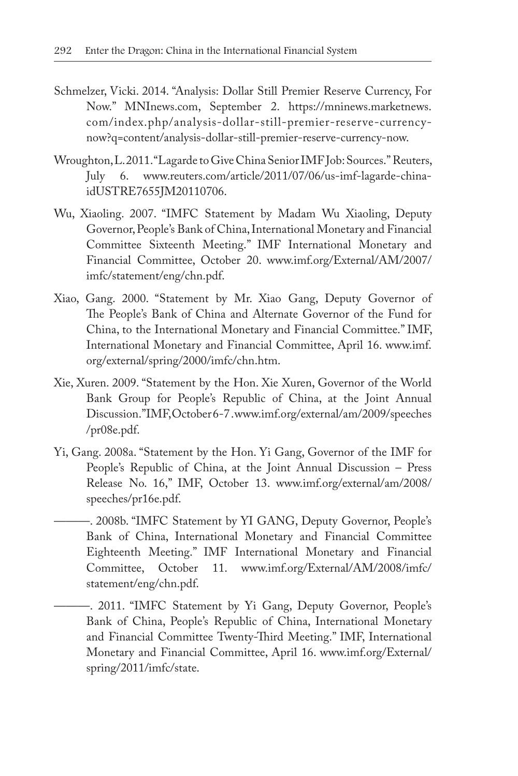- Schmelzer, Vicki. 2014. "Analysis: Dollar Still Premier Reserve Currency, For Now." MNInews.com, September 2. https://mninews.marketnews. com/index.php/analysis-dollar-still-premier-reserve-currencynow?q=content/analysis-dollar-still-premier-reserve-currency-now.
- Wroughton, L. 2011. "Lagarde to Give China Senior IMF Job: Sources." Reuters, July 6. www.reuters.com/article/2011/07/06/us-imf-lagarde-chinaidUSTRE7655JM20110706.
- Wu, Xiaoling. 2007. "IMFC Statement by Madam Wu Xiaoling, Deputy Governor, People's Bank of China, International Monetary and Financial Committee Sixteenth Meeting." IMF International Monetary and Financial Committee, October 20. www.imf.org/External/AM/2007/ imfc/statement/eng/chn.pdf.
- Xiao, Gang. 2000. "Statement by Mr. Xiao Gang, Deputy Governor of The People's Bank of China and Alternate Governor of the Fund for China, to the International Monetary and Financial Committee." IMF, International Monetary and Financial Committee, April 16. www.imf. org/external/spring/2000/imfc/chn.htm.
- Xie, Xuren. 2009. "Statement by the Hon. Xie Xuren, Governor of the World Bank Group for People's Republic of China, at the Joint Annual Discussion." IMF, October 6-7 . www.imf.org/external/am/2009/speeches /pr08e.pdf.
- Yi, Gang. 2008a. "Statement by the Hon. Yi Gang, Governor of the IMF for People's Republic of China, at the Joint Annual Discussion – Press Release No. 16," IMF, October 13. www.imf.org/external/am/2008/ speeches/pr16e.pdf.
- -. 2008b. "IMFC Statement by YI GANG, Deputy Governor, People's Bank of China, International Monetary and Financial Committee Eighteenth Meeting." IMF International Monetary and Financial Committee, October 11. www.imf.org/External/AM/2008/imfc/ statement/eng/chn.pdf.
	- ———. 2011. "IMFC Statement by Yi Gang, Deputy Governor, People's Bank of China, People's Republic of China, International Monetary and Financial Committee Twenty-Third Meeting." IMF, International Monetary and Financial Committee, April 16. www.imf.org/External/ spring/2011/imfc/state.